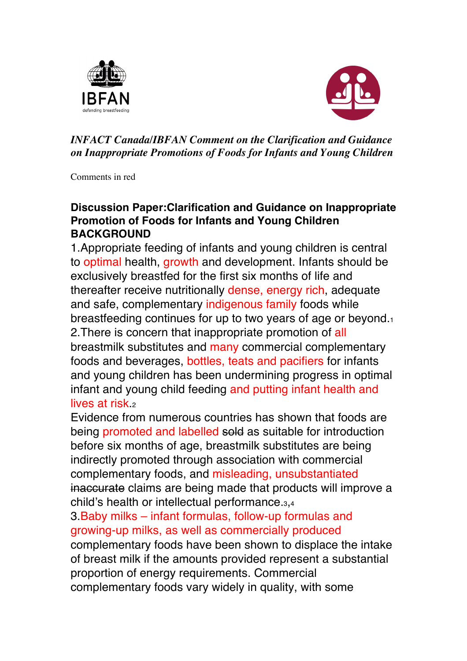



#### *INFACT Canada/IBFAN Comment on the Clarification and Guidance on Inappropriate Promotions of Foods for Infants and Young Children*

Comments in red

#### **Discussion Paper:Clarification and Guidance on Inappropriate Promotion of Foods for Infants and Young Children BACKGROUND**

1.Appropriate feeding of infants and young children is central to optimal health, growth and development. Infants should be exclusively breastfed for the first six months of life and thereafter receive nutritionally dense, energy rich, adequate and safe, complementary indigenous family foods while breastfeeding continues for up to two years of age or beyond.1 2.There is concern that inappropriate promotion of all breastmilk substitutes and many commercial complementary foods and beverages, bottles, teats and pacifiers for infants and young children has been undermining progress in optimal infant and young child feeding and putting infant health and lives at risk. $2$ 

Evidence from numerous countries has shown that foods are being promoted and labelled sold as suitable for introduction before six months of age, breastmilk substitutes are being indirectly promoted through association with commercial complementary foods, and misleading, unsubstantiated inaccurate claims are being made that products will improve a child's health or intellectual performance.3,4

3.Baby milks – infant formulas, follow-up formulas and growing-up milks, as well as commercially produced complementary foods have been shown to displace the intake of breast milk if the amounts provided represent a substantial proportion of energy requirements. Commercial complementary foods vary widely in quality, with some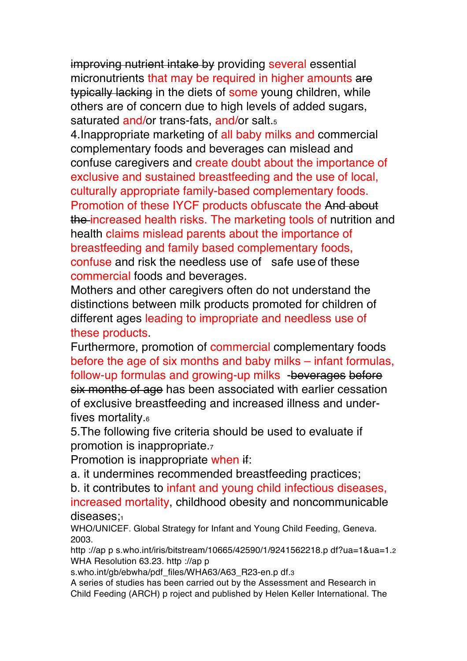improving nutrient intake by providing several essential micronutrients that may be required in higher amounts are typically lacking in the diets of some young children, while others are of concern due to high levels of added sugars, saturated and/or trans-fats, and/or salt.<sub>5</sub>

4.Inappropriate marketing of all baby milks and commercial complementary foods and beverages can mislead and confuse caregivers and create doubt about the importance of exclusive and sustained breastfeeding and the use of local, culturally appropriate family-based complementary foods. Promotion of these IYCF products obfuscate the And about the increased health risks. The marketing tools of nutrition and health claims mislead parents about the importance of breastfeeding and family based complementary foods, confuse and risk the needless use of safe use of these commercial foods and beverages.

Mothers and other caregivers often do not understand the distinctions between milk products promoted for children of different ages leading to impropriate and needless use of these products.

Furthermore, promotion of commercial complementary foods before the age of six months and baby milks – infant formulas, follow-up formulas and growing-up milks -beverages before six months of age has been associated with earlier cessation of exclusive breastfeeding and increased illness and underfives mortality.6

5.The following five criteria should be used to evaluate if promotion is inappropriate.7

Promotion is inappropriate when if:

a. it undermines recommended breastfeeding practices;

b. it contributes to infant and young child infectious diseases,

increased mortality, childhood obesity and noncommunicable diseases:

WHO/UNICEF. Global Strategy for Infant and Young Child Feeding, Geneva. 2003.

http ://ap p s.who.int/iris/bitstream/10665/42590/1/9241562218.p df?ua=1&ua=1.2 WHA Resolution 63.23. http ://ap p

s.who.int/gb/ebwha/pdf\_files/WHA63/A63\_R23-en.p df.3

A series of studies has been carried out by the Assessment and Research in Child Feeding (ARCH) p roject and published by Helen Keller International. The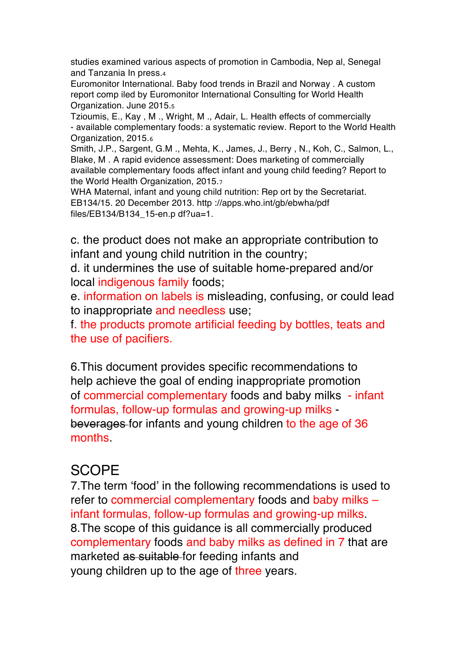studies examined various aspects of promotion in Cambodia, Nep al, Senegal and Tanzania In press.4

Euromonitor International. Baby food trends in Brazil and Norway . A custom report comp iled by Euromonitor International Consulting for World Health Organization. June 2015.5

Tzioumis, E., Kay , M ., Wright, M ., Adair, L. Health effects of commercially - available complementary foods: a systematic review. Report to the World Health Organization, 2015.6

Smith, J.P., Sargent, G.M ., Mehta, K., James, J., Berry , N., Koh, C., Salmon, L., Blake, M . A rapid evidence assessment: Does marketing of commercially available complementary foods affect infant and young child feeding? Report to the World Health Organization, 2015.7

WHA Maternal, infant and young child nutrition: Rep ort by the Secretariat. EB134/15. 20 December 2013. http ://apps.who.int/gb/ebwha/pdf files/EB134/B134\_15-en.p df?ua=1.

c. the product does not make an appropriate contribution to infant and young child nutrition in the country;

d. it undermines the use of suitable home-prepared and/or local indigenous family foods;

e. information on labels is misleading, confusing, or could lead to inappropriate and needless use;

f. the products promote artificial feeding by bottles, teats and the use of pacifiers.

6.This document provides specific recommendations to help achieve the goal of ending inappropriate promotion of commercial complementary foods and baby milks - infant formulas, follow-up formulas and growing-up milks beverages for infants and young children to the age of 36 months.

## **SCOPE**

7.The term 'food' in the following recommendations is used to refer to commercial complementary foods and baby milks – infant formulas, follow-up formulas and growing-up milks. 8.The scope of this guidance is all commercially produced complementary foods and baby milks as defined in 7 that are marketed as suitable for feeding infants and young children up to the age of three years.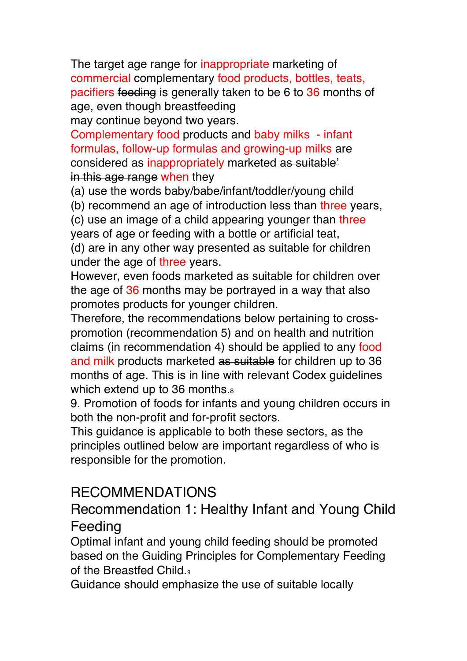The target age range for inappropriate marketing of commercial complementary food products, bottles, teats, pacifiers feeding is generally taken to be 6 to 36 months of age, even though breastfeeding

may continue beyond two years.

Complementary food products and baby milks - infant formulas, follow-up formulas and growing-up milks are considered as inappropriately marketed as suitable' in this age range when they

(a) use the words baby/babe/infant/toddler/young child

(b) recommend an age of introduction less than three years,

(c) use an image of a child appearing younger than three years of age or feeding with a bottle or artificial teat,

(d) are in any other way presented as suitable for children under the age of three years.

However, even foods marketed as suitable for children over the age of 36 months may be portrayed in a way that also promotes products for younger children.

Therefore, the recommendations below pertaining to crosspromotion (recommendation 5) and on health and nutrition claims (in recommendation 4) should be applied to any food and milk products marketed as suitable for children up to 36 months of age. This is in line with relevant Codex guidelines which extend up to 36 months.<sup>8</sup>

9. Promotion of foods for infants and young children occurs in both the non-profit and for-profit sectors.

This guidance is applicable to both these sectors, as the principles outlined below are important regardless of who is responsible for the promotion.

# RECOMMENDATIONS

# Recommendation 1: Healthy Infant and Young Child Feeding

Optimal infant and young child feeding should be promoted based on the Guiding Principles for Complementary Feeding of the Breastfed Child.

Guidance should emphasize the use of suitable locally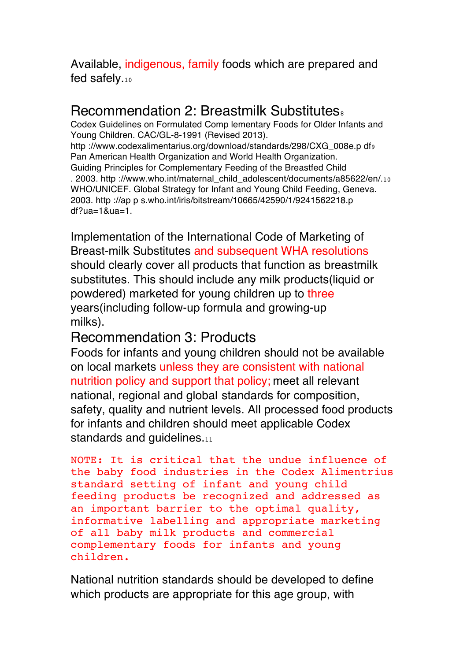#### Available, indigenous, family foods which are prepared and fed safely.10

## Recommendation 2: Breastmilk Substitutes.

Codex Guidelines on Formulated Comp lementary Foods for Older Infants and Young Children. CAC/GL-8-1991 (Revised 2013). http ://www.codexalimentarius.org/download/standards/298/CXG\_008e.p df9 Pan American Health Organization and World Health Organization. Guiding Principles for Complementary Feeding of the Breastfed Child . 2003. http ://www.who.int/maternal\_child\_adolescent/documents/a85622/en/.10 WHO/UNICEF. Global Strategy for Infant and Young Child Feeding, Geneva. 2003. http ://ap p s.who.int/iris/bitstream/10665/42590/1/9241562218.p df?ua=1&ua=1.

Implementation of the International Code of Marketing of Breast-milk Substitutes and subsequent WHA resolutions should clearly cover all products that function as breastmilk substitutes. This should include any milk products (liquid or powdered) marketed for young children up to three years(including follow-up formula and growing-up milks).

### Recommendation 3: Products

Foods for infants and young children should not be available on local markets unless they are consistent with national nutrition policy and support that policy; meet all relevant national, regional and global standards for composition, safety, quality and nutrient levels. All processed food products for infants and children should meet applicable Codex standards and guidelines.11

```
NOTE: It is critical that the undue influence of 
the baby food industries in the Codex Alimentrius 
standard setting of infant and young child 
feeding products be recognized and addressed as 
an important barrier to the optimal quality, 
informative labelling and appropriate marketing 
of all baby milk products and commercial 
complementary foods for infants and young 
children.
```
National nutrition standards should be developed to define which products are appropriate for this age group, with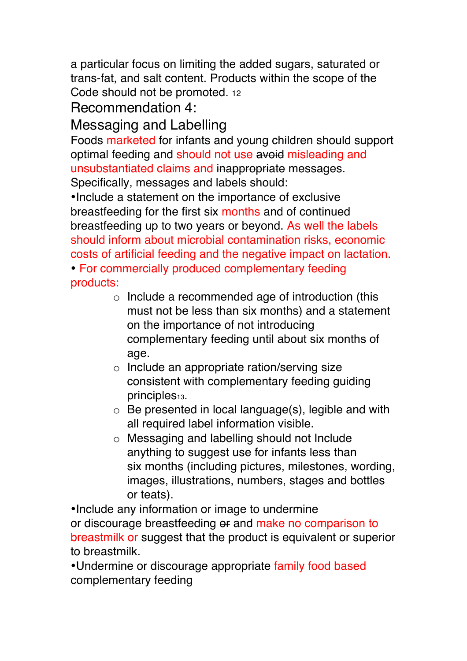a particular focus on limiting the added sugars, saturated or trans-fat, and salt content. Products within the scope of the Code should not be promoted. 12

# Recommendation 4:

# Messaging and Labelling

Foods marketed for infants and young children should support optimal feeding and should not use avoid misleading and unsubstantiated claims and inappropriate messages. Specifically, messages and labels should:

•Include a statement on the importance of exclusive breastfeeding for the first six months and of continued breastfeeding up to two years or beyond. As well the labels should inform about microbial contamination risks, economic costs of artificial feeding and the negative impact on lactation.

• For commercially produced complementary feeding products:

- $\circ$  Include a recommended age of introduction (this must not be less than six months) and a statement on the importance of not introducing complementary feeding until about six months of age.
- o Include an appropriate ration/serving size consistent with complementary feeding guiding principles<sub>13</sub>.
- o Be presented in local language(s), legible and with all required label information visible.
- o Messaging and labelling should not Include anything to suggest use for infants less than six months (including pictures, milestones, wording, images, illustrations, numbers, stages and bottles or teats).

•Include any information or image to undermine or discourage breastfeeding or and make no comparison to breastmilk or suggest that the product is equivalent or superior to breastmilk.

•Undermine or discourage appropriate family food based complementary feeding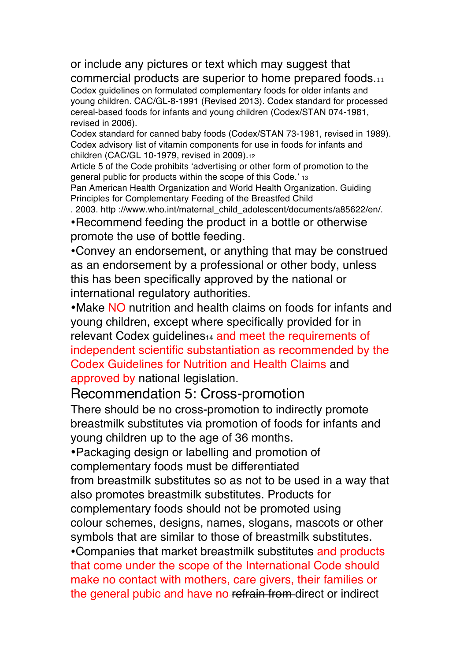# or include any pictures or text which may suggest that

commercial products are superior to home prepared foods.<sup>11</sup> Codex guidelines on formulated complementary foods for older infants and young children. CAC/GL-8-1991 (Revised 2013). Codex standard for processed cereal-based foods for infants and young children (Codex/STAN 074-1981, revised in 2006).

Codex standard for canned baby foods (Codex/STAN 73-1981, revised in 1989). Codex advisory list of vitamin components for use in foods for infants and children (CAC/GL 10-1979, revised in 2009).12

Article 5 of the Code prohibits 'advertising or other form of promotion to the general public for products within the scope of this Code.' 13

Pan American Health Organization and World Health Organization. Guiding Principles for Complementary Feeding of the Breastfed Child

. 2003. http ://www.who.int/maternal\_child\_adolescent/documents/a85622/en/.

•Recommend feeding the product in a bottle or otherwise promote the use of bottle feeding.

•Convey an endorsement, or anything that may be construed as an endorsement by a professional or other body, unless this has been specifically approved by the national or international regulatory authorities.

•Make NO nutrition and health claims on foods for infants and young children, except where specifically provided for in relevant Codex quidelines<sup>14</sup> and meet the requirements of independent scientific substantiation as recommended by the Codex Guidelines for Nutrition and Health Claims and approved by national legislation.

#### Recommendation 5: Cross-promotion

There should be no cross-promotion to indirectly promote breastmilk substitutes via promotion of foods for infants and young children up to the age of 36 months.

•Packaging design or labelling and promotion of

complementary foods must be differentiated from breastmilk substitutes so as not to be used in a way that

also promotes breastmilk substitutes. Products for

complementary foods should not be promoted using

colour schemes, designs, names, slogans, mascots or other symbols that are similar to those of breastmilk substitutes.

•Companies that market breastmilk substitutes and products that come under the scope of the International Code should make no contact with mothers, care givers, their families or the general pubic and have no-refrain from direct or indirect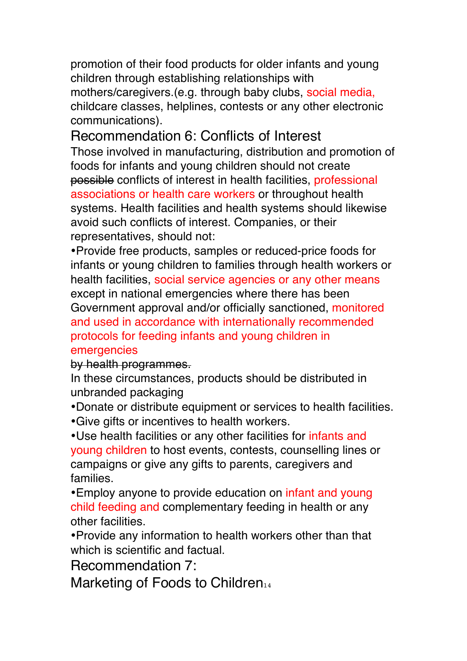promotion of their food products for older infants and young children through establishing relationships with mothers/caregivers.(e.g. through baby clubs, social media, childcare classes, helplines, contests or any other electronic communications).

## Recommendation 6: Conflicts of Interest

Those involved in manufacturing, distribution and promotion of foods for infants and young children should not create possible conflicts of interest in health facilities, professional associations or health care workers or throughout health systems. Health facilities and health systems should likewise avoid such conflicts of interest. Companies, or their representatives, should not:

•Provide free products, samples or reduced-price foods for infants or young children to families through health workers or health facilities, social service agencies or any other means except in national emergencies where there has been Government approval and/or officially sanctioned, monitored and used in accordance with internationally recommended protocols for feeding infants and young children in emergencies

by health programmes.

In these circumstances, products should be distributed in unbranded packaging

•Donate or distribute equipment or services to health facilities. •Give gifts or incentives to health workers.

•Use health facilities or any other facilities for infants and young children to host events, contests, counselling lines or campaigns or give any gifts to parents, caregivers and families.

•Employ anyone to provide education on *infant and young* child feeding and complementary feeding in health or any other facilities.

•Provide any information to health workers other than that which is scientific and factual.

Recommendation 7:

Marketing of Foods to Children<sub>14</sub>